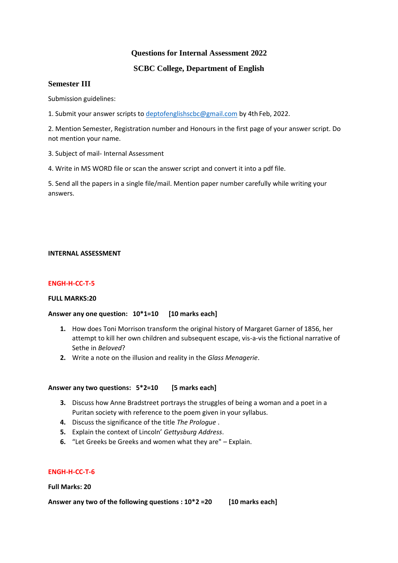# **Questions for Internal Assessment 2022**

# **SCBC College, Department of English**

## **Semester III**

Submission guidelines:

1. Submit your answer scripts to [deptofenglishscbc@gmail.com](mailto:deptofenglishscbc@gmail.com) by 4th Feb, 2022.

2. Mention Semester, Registration number and Honours in the first page of your answer script. Do not mention your name.

3. Subject of mail- Internal Assessment

4. Write in MS WORD file or scan the answer script and convert it into a pdf file.

5. Send all the papers in a single file/mail. Mention paper number carefully while writing your answers.

#### **INTERNAL ASSESSMENT**

## **ENGH-H-CC-T-5**

## **FULL MARKS:20**

## **Answer any one question: 10\*1=10 [10 marks each]**

- **1.** How does Toni Morrison transform the original history of Margaret Garner of 1856, her attempt to kill her own children and subsequent escape, vis-a-vis the fictional narrative of Sethe in *Beloved*?
- **2.** Write a note on the illusion and reality in the *Glass Menagerie*.

#### **Answer any two questions: 5\*2=10 [5 marks each]**

- **3.** Discuss how Anne Bradstreet portrays the struggles of being a woman and a poet in a Puritan society with reference to the poem given in your syllabus.
- **4.** Discuss the significance of the title *The Prologue* .
- **5.** Explain the context of Lincoln' *Gettysburg Address*.
- **6.** "Let Greeks be Greeks and women what they are" Explain.

## **ENGH-H-CC-T-6**

**Full Marks: 20**

**Answer any two of the following questions : 10\*2 =20 [10 marks each]**